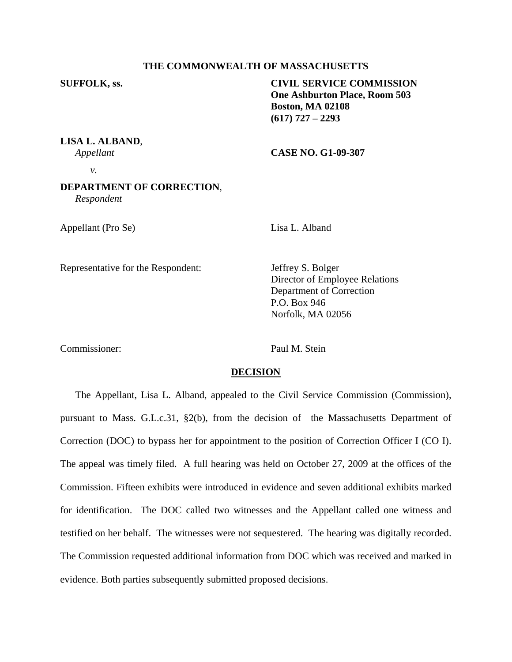## **THE COMMONWEALTH OF MASSACHUSETTS**

**SUFFOLK, ss. CIVIL SERVICE COMMISSION One Ashburton Place, Room 503 Boston, MA 02108 (617) 727 – 2293** 

**LISA L. ALBAND**,

*Appellant* **CASE NO. G1-09-307**

*v.* 

## **DEPARTMENT OF CORRECTION**, *Respondent*

Appellant (Pro Se) Lisa L. Alband

Representative for the Respondent: Jeffrey S. Bolger

 Director of Employee Relations Department of Correction P.O. Box 946 Norfolk, MA 02056

Commissioner: Paul M. Stein

### **DECISION**

 The Appellant, Lisa L. Alband, appealed to the Civil Service Commission (Commission), pursuant to Mass. G.L.c.31, §2(b), from the decision of the Massachusetts Department of Correction (DOC) to bypass her for appointment to the position of Correction Officer I (CO I). The appeal was timely filed. A full hearing was held on October 27, 2009 at the offices of the Commission. Fifteen exhibits were introduced in evidence and seven additional exhibits marked for identification. The DOC called two witnesses and the Appellant called one witness and testified on her behalf. The witnesses were not sequestered. The hearing was digitally recorded. The Commission requested additional information from DOC which was received and marked in evidence. Both parties subsequently submitted proposed decisions.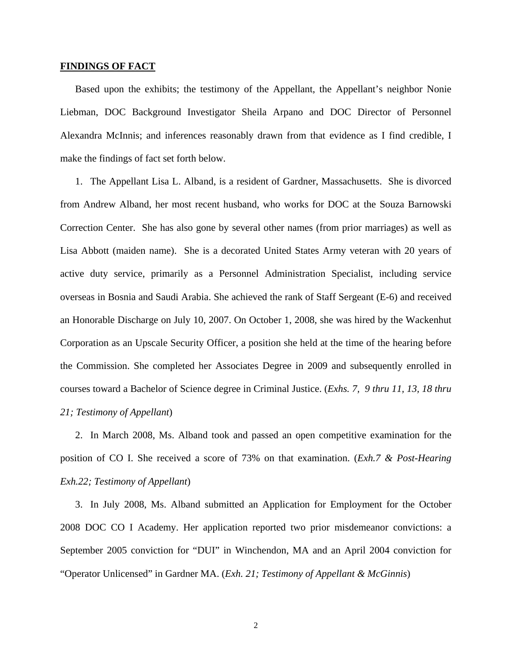#### **FINDINGS OF FACT**

Based upon the exhibits; the testimony of the Appellant, the Appellant's neighbor Nonie Liebman, DOC Background Investigator Sheila Arpano and DOC Director of Personnel Alexandra McInnis; and inferences reasonably drawn from that evidence as I find credible, I make the findings of fact set forth below.

1. The Appellant Lisa L. Alband, is a resident of Gardner, Massachusetts. She is divorced from Andrew Alband, her most recent husband, who works for DOC at the Souza Barnowski Correction Center. She has also gone by several other names (from prior marriages) as well as Lisa Abbott (maiden name). She is a decorated United States Army veteran with 20 years of active duty service, primarily as a Personnel Administration Specialist, including service overseas in Bosnia and Saudi Arabia. She achieved the rank of Staff Sergeant (E-6) and received an Honorable Discharge on July 10, 2007. On October 1, 2008, she was hired by the Wackenhut Corporation as an Upscale Security Officer, a position she held at the time of the hearing before the Commission. She completed her Associates Degree in 2009 and subsequently enrolled in courses toward a Bachelor of Science degree in Criminal Justice. (*Exhs. 7, 9 thru 11, 13, 18 thru 21; Testimony of Appellant*)

2. In March 2008, Ms. Alband took and passed an open competitive examination for the position of CO I. She received a score of 73% on that examination. (*Exh.7 & Post-Hearing Exh.22; Testimony of Appellant*)

3. In July 2008, Ms. Alband submitted an Application for Employment for the October 2008 DOC CO I Academy. Her application reported two prior misdemeanor convictions: a September 2005 conviction for "DUI" in Winchendon, MA and an April 2004 conviction for "Operator Unlicensed" in Gardner MA. (*Exh. 21; Testimony of Appellant & McGinnis*)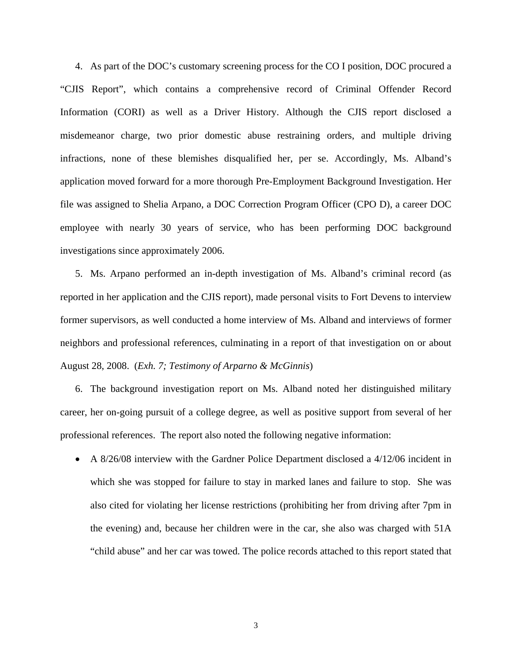4. As part of the DOC's customary screening process for the CO I position, DOC procured a "CJIS Report", which contains a comprehensive record of Criminal Offender Record Information (CORI) as well as a Driver History. Although the CJIS report disclosed a misdemeanor charge, two prior domestic abuse restraining orders, and multiple driving infractions, none of these blemishes disqualified her, per se. Accordingly, Ms. Alband's application moved forward for a more thorough Pre-Employment Background Investigation. Her file was assigned to Shelia Arpano, a DOC Correction Program Officer (CPO D), a career DOC employee with nearly 30 years of service, who has been performing DOC background investigations since approximately 2006.

5. Ms. Arpano performed an in-depth investigation of Ms. Alband's criminal record (as reported in her application and the CJIS report), made personal visits to Fort Devens to interview former supervisors, as well conducted a home interview of Ms. Alband and interviews of former neighbors and professional references, culminating in a report of that investigation on or about August 28, 2008. (*Exh. 7; Testimony of Arparno & McGinnis*)

6. The background investigation report on Ms. Alband noted her distinguished military career, her on-going pursuit of a college degree, as well as positive support from several of her professional references. The report also noted the following negative information:

• A 8/26/08 interview with the Gardner Police Department disclosed a 4/12/06 incident in which she was stopped for failure to stay in marked lanes and failure to stop. She was also cited for violating her license restrictions (prohibiting her from driving after 7pm in the evening) and, because her children were in the car, she also was charged with 51A "child abuse" and her car was towed. The police records attached to this report stated that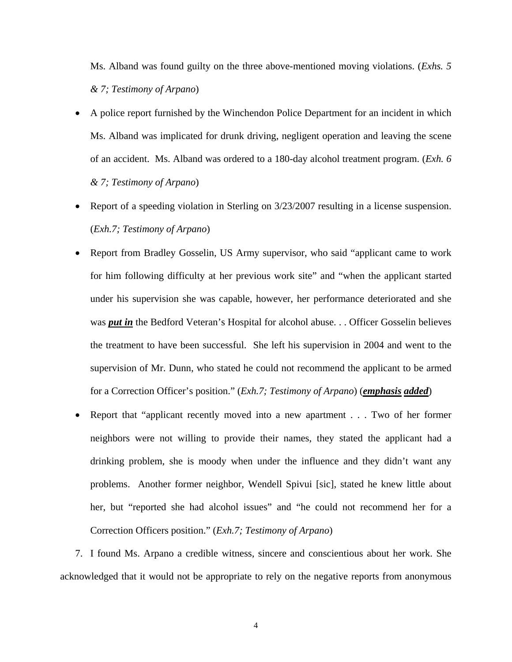Ms. Alband was found guilty on the three above-mentioned moving violations. (*Exhs. 5 & 7; Testimony of Arpano*)

- A police report furnished by the Winchendon Police Department for an incident in which Ms. Alband was implicated for drunk driving, negligent operation and leaving the scene of an accident. Ms. Alband was ordered to a 180-day alcohol treatment program. (*Exh. 6 & 7; Testimony of Arpano*)
- Report of a speeding violation in Sterling on 3/23/2007 resulting in a license suspension. (*Exh.7; Testimony of Arpano*)
- Report from Bradley Gosselin, US Army supervisor, who said "applicant came to work for him following difficulty at her previous work site" and "when the applicant started under his supervision she was capable, however, her performance deteriorated and she was *put in* the Bedford Veteran's Hospital for alcohol abuse. . . Officer Gosselin believes the treatment to have been successful. She left his supervision in 2004 and went to the supervision of Mr. Dunn, who stated he could not recommend the applicant to be armed for a Correction Officer's position." (*Exh.7; Testimony of Arpano*) (*emphasis added*)
- Report that "applicant recently moved into a new apartment . . . Two of her former neighbors were not willing to provide their names, they stated the applicant had a drinking problem, she is moody when under the influence and they didn't want any problems. Another former neighbor, Wendell Spivui [sic], stated he knew little about her, but "reported she had alcohol issues" and "he could not recommend her for a Correction Officers position." (*Exh.7; Testimony of Arpano*)

7. I found Ms. Arpano a credible witness, sincere and conscientious about her work. She acknowledged that it would not be appropriate to rely on the negative reports from anonymous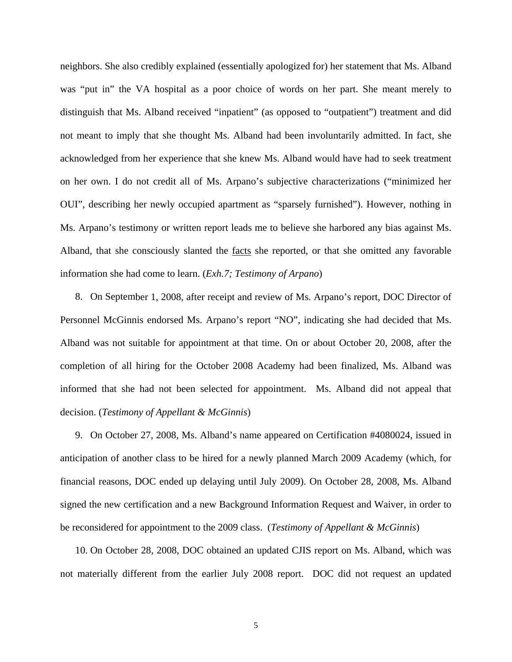neighbors. She also credibly explained (essentially apologized for) her statement that Ms. Alband was "put in" the VA hospital as a poor choice of words on her part. She meant merely to distinguish that Ms. Alband received "inpatient" (as opposed to "outpatient") treatment and did not meant to imply that she thought Ms. Alband had been involuntarily admitted. In fact, she acknowledged from her experience that she knew Ms. Alband would have had to seek treatment on her own. I do not credit all of Ms. Arpano's subjective characterizations ("minimized her OUI", describing her newly occupied apartment as "sparsely furnished"). However, nothing in Ms. Arpano's testimony or written report leads me to believe she harbored any bias against Ms. Alband, that she consciously slanted the facts she reported, or that she omitted any favorable information she had come to learn. (*Exh.7; Testimony of Arpano*)

8. On September 1, 2008, after receipt and review of Ms. Arpano's report, DOC Director of Personnel McGinnis endorsed Ms. Arpano's report "NO", indicating she had decided that Ms. Alband was not suitable for appointment at that time. On or about October 20, 2008, after the completion of all hiring for the October 2008 Academy had been finalized, Ms. Alband was informed that she had not been selected for appointment. Ms. Alband did not appeal that decision. (*Testimony of Appellant & McGinnis*)

9. On October 27, 2008, Ms. Alband's name appeared on Certification #4080024, issued in anticipation of another class to be hired for a newly planned March 2009 Academy (which, for financial reasons, DOC ended up delaying until July 2009). On October 28, 2008, Ms. Alband signed the new certification and a new Background Information Request and Waiver, in order to be reconsidered for appointment to the 2009 class. (*Testimony of Appellant & McGinnis*)

10. On October 28, 2008, DOC obtained an updated CJIS report on Ms. Alband, which was not materially different from the earlier July 2008 report. DOC did not request an updated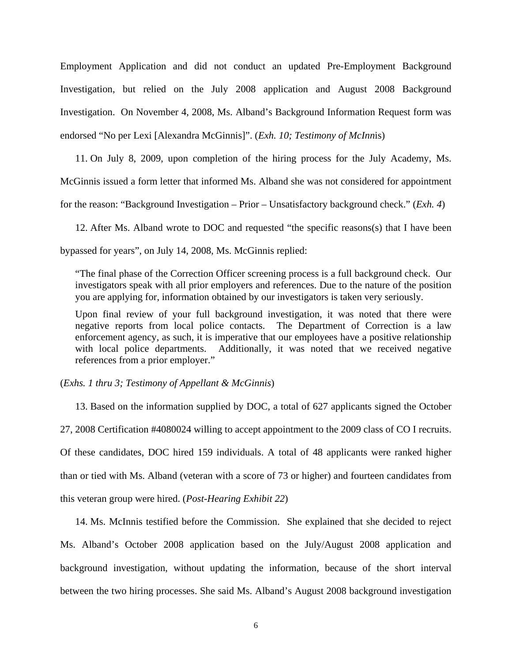Employment Application and did not conduct an updated Pre-Employment Background Investigation, but relied on the July 2008 application and August 2008 Background Investigation. On November 4, 2008, Ms. Alband's Background Information Request form was endorsed "No per Lexi [Alexandra McGinnis]". (*Exh. 10; Testimony of McInn*is)

11. On July 8, 2009, upon completion of the hiring process for the July Academy, Ms. McGinnis issued a form letter that informed Ms. Alband she was not considered for appointment for the reason: "Background Investigation – Prior – Unsatisfactory background check." (*Exh. 4*)

12. After Ms. Alband wrote to DOC and requested "the specific reasons(s) that I have been bypassed for years", on July 14, 2008, Ms. McGinnis replied:

"The final phase of the Correction Officer screening process is a full background check. Our investigators speak with all prior employers and references. Due to the nature of the position you are applying for, information obtained by our investigators is taken very seriously.

Upon final review of your full background investigation, it was noted that there were negative reports from local police contacts. The Department of Correction is a law enforcement agency, as such, it is imperative that our employees have a positive relationship with local police departments. Additionally, it was noted that we received negative references from a prior employer."

(*Exhs. 1 thru 3; Testimony of Appellant & McGinnis*)

13. Based on the information supplied by DOC, a total of 627 applicants signed the October 27, 2008 Certification #4080024 willing to accept appointment to the 2009 class of CO I recruits. Of these candidates, DOC hired 159 individuals. A total of 48 applicants were ranked higher than or tied with Ms. Alband (veteran with a score of 73 or higher) and fourteen candidates from this veteran group were hired. (*Post-Hearing Exhibit 22*)

14. Ms. McInnis testified before the Commission. She explained that she decided to reject Ms. Alband's October 2008 application based on the July/August 2008 application and background investigation, without updating the information, because of the short interval between the two hiring processes. She said Ms. Alband's August 2008 background investigation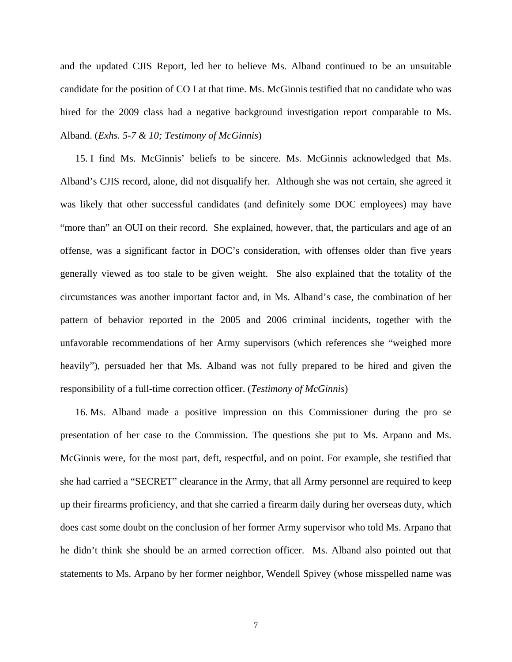and the updated CJIS Report, led her to believe Ms. Alband continued to be an unsuitable candidate for the position of CO I at that time. Ms. McGinnis testified that no candidate who was hired for the 2009 class had a negative background investigation report comparable to Ms. Alband. (*Exhs. 5-7 & 10; Testimony of McGinnis*)

15. I find Ms. McGinnis' beliefs to be sincere. Ms. McGinnis acknowledged that Ms. Alband's CJIS record, alone, did not disqualify her. Although she was not certain, she agreed it was likely that other successful candidates (and definitely some DOC employees) may have "more than" an OUI on their record. She explained, however, that, the particulars and age of an offense, was a significant factor in DOC's consideration, with offenses older than five years generally viewed as too stale to be given weight. She also explained that the totality of the circumstances was another important factor and, in Ms. Alband's case, the combination of her pattern of behavior reported in the 2005 and 2006 criminal incidents, together with the unfavorable recommendations of her Army supervisors (which references she "weighed more heavily"), persuaded her that Ms. Alband was not fully prepared to be hired and given the responsibility of a full-time correction officer. (*Testimony of McGinnis*)

16. Ms. Alband made a positive impression on this Commissioner during the pro se presentation of her case to the Commission. The questions she put to Ms. Arpano and Ms. McGinnis were, for the most part, deft, respectful, and on point. For example, she testified that she had carried a "SECRET" clearance in the Army, that all Army personnel are required to keep up their firearms proficiency, and that she carried a firearm daily during her overseas duty, which does cast some doubt on the conclusion of her former Army supervisor who told Ms. Arpano that he didn't think she should be an armed correction officer. Ms. Alband also pointed out that statements to Ms. Arpano by her former neighbor, Wendell Spivey (whose misspelled name was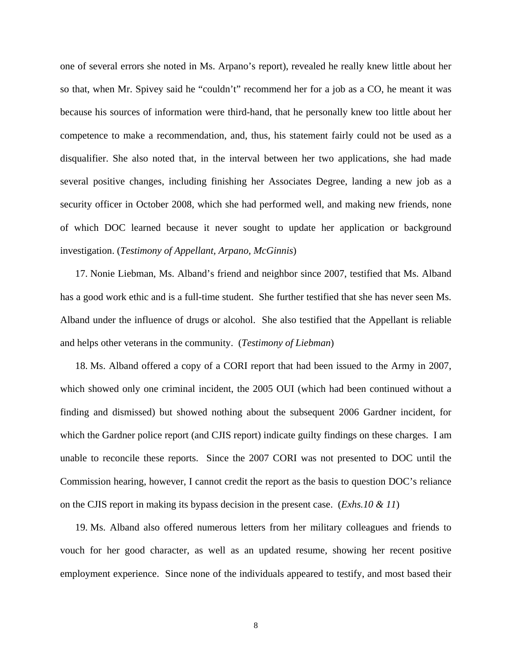one of several errors she noted in Ms. Arpano's report), revealed he really knew little about her so that, when Mr. Spivey said he "couldn't" recommend her for a job as a CO, he meant it was because his sources of information were third-hand, that he personally knew too little about her competence to make a recommendation, and, thus, his statement fairly could not be used as a disqualifier. She also noted that, in the interval between her two applications, she had made several positive changes, including finishing her Associates Degree, landing a new job as a security officer in October 2008, which she had performed well, and making new friends, none of which DOC learned because it never sought to update her application or background investigation. (*Testimony of Appellant, Arpano, McGinnis*)

17. Nonie Liebman, Ms. Alband's friend and neighbor since 2007, testified that Ms. Alband has a good work ethic and is a full-time student. She further testified that she has never seen Ms. Alband under the influence of drugs or alcohol. She also testified that the Appellant is reliable and helps other veterans in the community. (*Testimony of Liebman*)

18. Ms. Alband offered a copy of a CORI report that had been issued to the Army in 2007, which showed only one criminal incident, the 2005 OUI (which had been continued without a finding and dismissed) but showed nothing about the subsequent 2006 Gardner incident, for which the Gardner police report (and CJIS report) indicate guilty findings on these charges. I am unable to reconcile these reports. Since the 2007 CORI was not presented to DOC until the Commission hearing, however, I cannot credit the report as the basis to question DOC's reliance on the CJIS report in making its bypass decision in the present case. (*Exhs.10 & 11*)

19. Ms. Alband also offered numerous letters from her military colleagues and friends to vouch for her good character, as well as an updated resume, showing her recent positive employment experience. Since none of the individuals appeared to testify, and most based their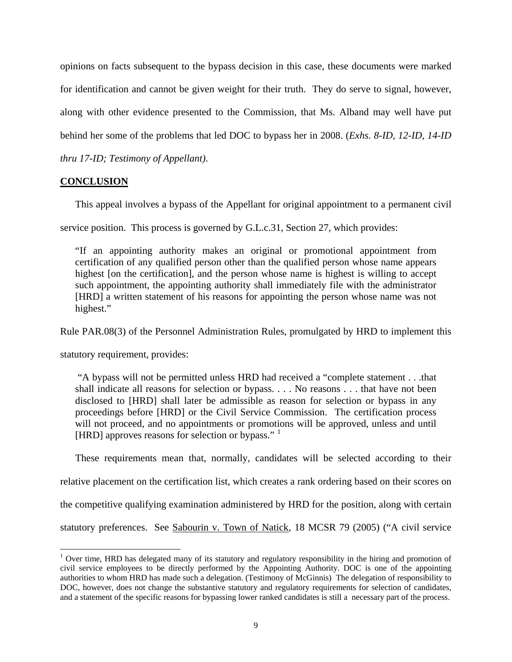opinions on facts subsequent to the bypass decision in this case, these documents were marked for identification and cannot be given weight for their truth. They do serve to signal, however, along with other evidence presented to the Commission, that Ms. Alband may well have put behind her some of the problems that led DOC to bypass her in 2008. (*Exhs. 8-ID, 12-ID, 14-ID thru 17-ID; Testimony of Appellant)*.

# **CONCLUSION**

This appeal involves a bypass of the Appellant for original appointment to a permanent civil

service position. This process is governed by G.L.c.31, Section 27, which provides:

"If an appointing authority makes an original or promotional appointment from certification of any qualified person other than the qualified person whose name appears highest [on the certification], and the person whose name is highest is willing to accept such appointment, the appointing authority shall immediately file with the administrator [HRD] a written statement of his reasons for appointing the person whose name was not highest."

Rule PAR.08(3) of the Personnel Administration Rules, promulgated by HRD to implement this

statutory requirement, provides:

 $\overline{a}$ 

 "A bypass will not be permitted unless HRD had received a "complete statement . . .that shall indicate all reasons for selection or bypass. . . . No reasons . . . that have not been disclosed to [HRD] shall later be admissible as reason for selection or bypass in any proceedings before [HRD] or the Civil Service Commission. The certification process will not proceed, and no appointments or promotions will be approved, unless and until [HRD] approves reasons for selection or bypass."  $<sup>1</sup>$  $<sup>1</sup>$  $<sup>1</sup>$ </sup>

These requirements mean that, normally, candidates will be selected according to their relative placement on the certification list, which creates a rank ordering based on their scores on the competitive qualifying examination administered by HRD for the position, along with certain statutory preferences. See Sabourin v. Town of Natick, 18 MCSR 79 (2005) ("A civil service

<span id="page-8-0"></span><sup>&</sup>lt;sup>1</sup> Over time, HRD has delegated many of its statutory and regulatory responsibility in the hiring and promotion of civil service employees to be directly performed by the Appointing Authority. DOC is one of the appointing authorities to whom HRD has made such a delegation. (Testimony of McGinnis) The delegation of responsibility to DOC, however, does not change the substantive statutory and regulatory requirements for selection of candidates, and a statement of the specific reasons for bypassing lower ranked candidates is still a necessary part of the process.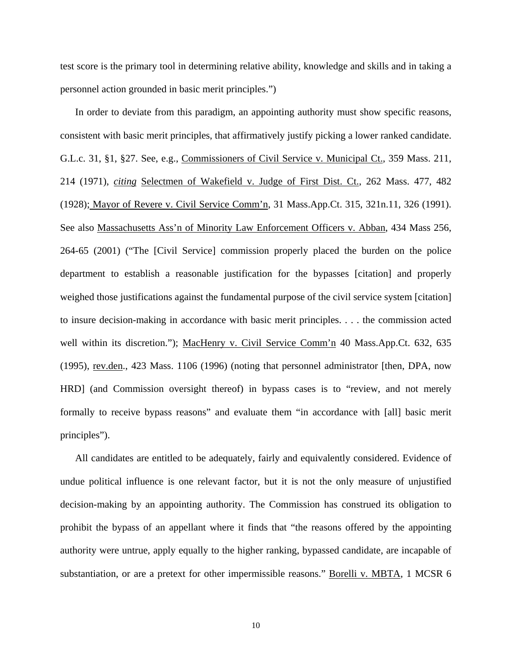test score is the primary tool in determining relative ability, knowledge and skills and in taking a personnel action grounded in basic merit principles.")

In order to deviate from this paradigm, an appointing authority must show specific reasons, consistent with basic merit principles, that affirmatively justify picking a lower ranked candidate. G.L.c. 31, §1, §27. See, e.g., Commissioners of Civil Service v. Municipal Ct., 359 Mass. 211, 214 (1971), *citing* Selectmen of Wakefield v. Judge of First Dist. Ct., 262 Mass. 477, 482 (1928); Mayor of Revere v. Civil Service Comm'n, 31 Mass.App.Ct. 315, 321n.11, 326 (1991). See also Massachusetts Ass'n of Minority Law Enforcement Officers v. Abban, 434 Mass 256, 264-65 (2001) ("The [Civil Service] commission properly placed the burden on the police department to establish a reasonable justification for the bypasses [citation] and properly weighed those justifications against the fundamental purpose of the civil service system [citation] to insure decision-making in accordance with basic merit principles. . . . the commission acted well within its discretion."); MacHenry v. Civil Service Comm'n 40 Mass.App.Ct. 632, 635 (1995), rev.den., 423 Mass. 1106 (1996) (noting that personnel administrator [then, DPA, now HRD] (and Commission oversight thereof) in bypass cases is to "review, and not merely formally to receive bypass reasons" and evaluate them "in accordance with [all] basic merit principles").

 All candidates are entitled to be adequately, fairly and equivalently considered. Evidence of undue political influence is one relevant factor, but it is not the only measure of unjustified decision-making by an appointing authority. The Commission has construed its obligation to prohibit the bypass of an appellant where it finds that "the reasons offered by the appointing authority were untrue, apply equally to the higher ranking, bypassed candidate, are incapable of substantiation, or are a pretext for other impermissible reasons." Borelli v. MBTA, 1 MCSR 6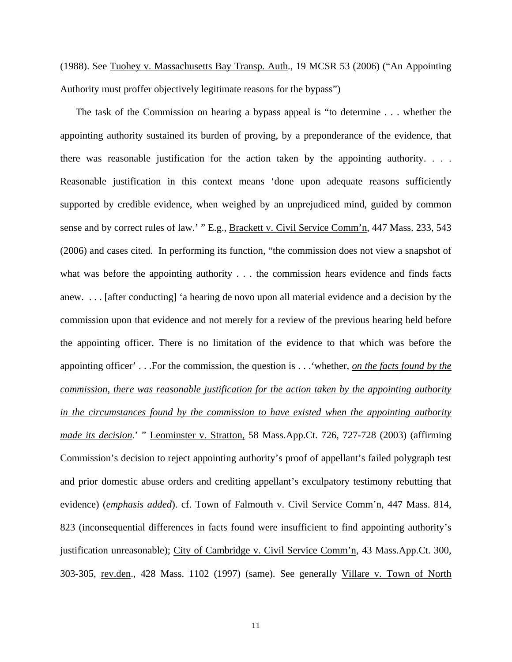(1988). See Tuohey v. Massachusetts Bay Transp. Auth., 19 MCSR 53 (2006) ("An Appointing Authority must proffer objectively legitimate reasons for the bypass")

The task of the Commission on hearing a bypass appeal is "to determine . . . whether the appointing authority sustained its burden of proving, by a preponderance of the evidence, that there was reasonable justification for the action taken by the appointing authority. . . . Reasonable justification in this context means 'done upon adequate reasons sufficiently supported by credible evidence, when weighed by an unprejudiced mind, guided by common sense and by correct rules of law.' " E.g., Brackett v. Civil Service Comm'n, 447 Mass. 233, 543 (2006) and cases cited. In performing its function, "the commission does not view a snapshot of what was before the appointing authority . . . the commission hears evidence and finds facts anew. . . . [after conducting] 'a hearing de novo upon all material evidence and a decision by the commission upon that evidence and not merely for a review of the previous hearing held before the appointing officer. There is no limitation of the evidence to that which was before the appointing officer' . . .For the commission, the question is . . .'whether, *on the facts found by the commission, there was reasonable justification for the action taken by the appointing authority in the circumstances found by the commission to have existed when the appointing authority made its decision*.' " Leominster v. Stratton, 58 Mass.App.Ct. 726, 727-728 (2003) (affirming Commission's decision to reject appointing authority's proof of appellant's failed polygraph test and prior domestic abuse orders and crediting appellant's exculpatory testimony rebutting that evidence) (*emphasis added*). cf. Town of Falmouth v. Civil Service Comm'n, 447 Mass. 814, 823 (inconsequential differences in facts found were insufficient to find appointing authority's justification unreasonable); City of Cambridge v. Civil Service Comm'n, 43 Mass.App.Ct. 300, 303-305, rev.den., 428 Mass. 1102 (1997) (same). See generally Villare v. Town of North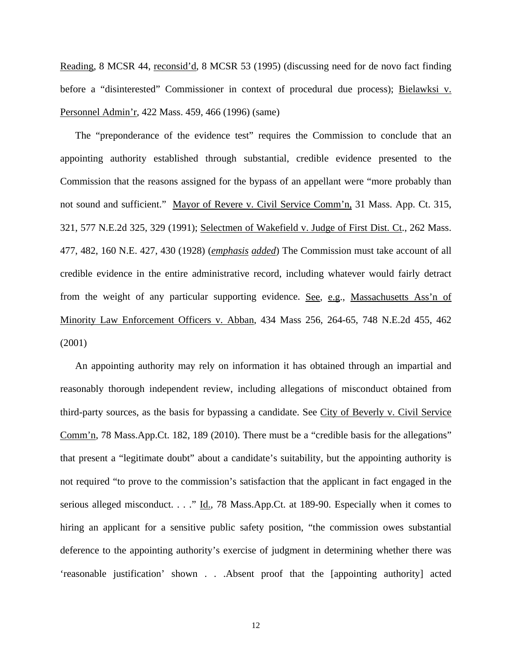Reading, 8 MCSR 44, reconsid'd, 8 MCSR 53 (1995) (discussing need for de novo fact finding before a "disinterested" Commissioner in context of procedural due process); Bielawksi v. Personnel Admin'r, 422 Mass. 459, 466 (1996) (same)

 The "preponderance of the evidence test" requires the Commission to conclude that an appointing authority established through substantial, credible evidence presented to the Commission that the reasons assigned for the bypass of an appellant were "more probably than not sound and sufficient." Mayor of Revere v. Civil Service Comm'n, 31 Mass. App. Ct. 315, 321, 577 N.E.2d 325, 329 (1991); Selectmen of Wakefield v. Judge of First Dist. Ct., 262 Mass. 477, 482, 160 N.E. 427, 430 (1928) (*emphasis added*) The Commission must take account of all credible evidence in the entire administrative record, including whatever would fairly detract from the weight of any particular supporting evidence. See, e.g., Massachusetts Ass'n of Minority Law Enforcement Officers v. Abban, 434 Mass 256, 264-65, 748 N.E.2d 455, 462 (2001)

 An appointing authority may rely on information it has obtained through an impartial and reasonably thorough independent review, including allegations of misconduct obtained from third-party sources, as the basis for bypassing a candidate. See City of Beverly v. Civil Service Comm'n, 78 Mass.App.Ct. 182, 189 (2010). There must be a "credible basis for the allegations" that present a "legitimate doubt" about a candidate's suitability, but the appointing authority is not required "to prove to the commission's satisfaction that the applicant in fact engaged in the serious alleged misconduct. . . ." Id., 78 Mass.App.Ct. at 189-90. Especially when it comes to hiring an applicant for a sensitive public safety position, "the commission owes substantial deference to the appointing authority's exercise of judgment in determining whether there was 'reasonable justification' shown . . .Absent proof that the [appointing authority] acted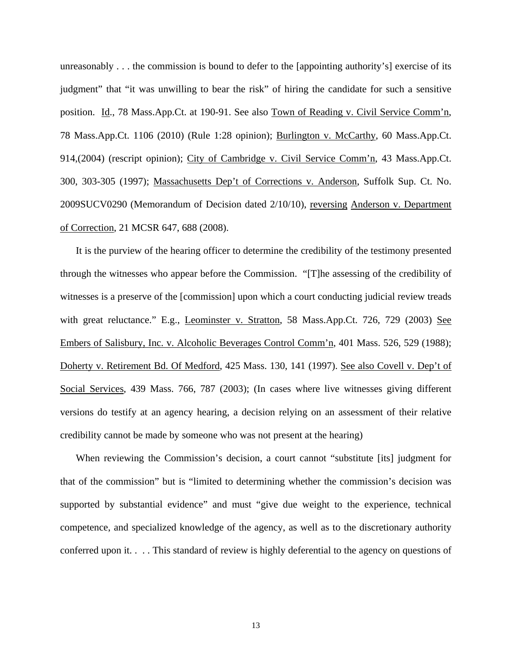unreasonably . . . the commission is bound to defer to the [appointing authority's] exercise of its judgment" that "it was unwilling to bear the risk" of hiring the candidate for such a sensitive position. Id., 78 Mass.App.Ct. at 190-91. See also Town of Reading v. Civil Service Comm'n, 78 Mass.App.Ct. 1106 (2010) (Rule 1:28 opinion); Burlington v. McCarthy, 60 Mass.App.Ct. 914,(2004) (rescript opinion); City of Cambridge v. Civil Service Comm'n, 43 Mass.App.Ct. 300, 303-305 (1997); Massachusetts Dep't of Corrections v. Anderson, Suffolk Sup. Ct. No. 2009SUCV0290 (Memorandum of Decision dated 2/10/10), reversing Anderson v. Department of Correction, 21 MCSR 647, 688 (2008).

It is the purview of the hearing officer to determine the credibility of the testimony presented through the witnesses who appear before the Commission. "[T]he assessing of the credibility of witnesses is a preserve of the [commission] upon which a court conducting judicial review treads with great reluctance." E.g., Leominster v. Stratton, 58 Mass.App.Ct. 726, 729 (2003) See Embers of Salisbury, Inc. v. Alcoholic Beverages Control Comm'n, 401 Mass. 526, 529 (1988); Doherty v. Retirement Bd. Of Medford, 425 Mass. 130, 141 (1997). See also Covell v. Dep't of Social Services, 439 Mass. 766, 787 (2003); (In cases where live witnesses giving different versions do testify at an agency hearing, a decision relying on an assessment of their relative credibility cannot be made by someone who was not present at the hearing)

When reviewing the Commission's decision, a court cannot "substitute [its] judgment for that of the commission" but is "limited to determining whether the commission's decision was supported by substantial evidence" and must "give due weight to the experience, technical competence, and specialized knowledge of the agency, as well as to the discretionary authority conferred upon it. . . . This standard of review is highly deferential to the agency on questions of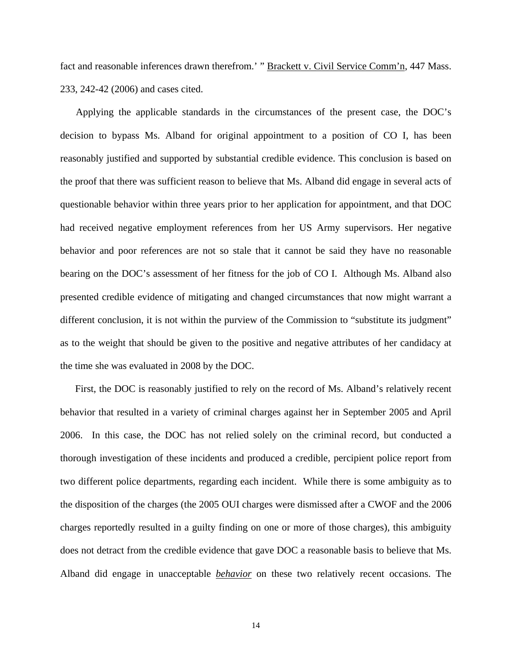fact and reasonable inferences drawn therefrom.' " Brackett v. Civil Service Comm'n, 447 Mass. 233, 242-42 (2006) and cases cited.

Applying the applicable standards in the circumstances of the present case, the DOC's decision to bypass Ms. Alband for original appointment to a position of CO I, has been reasonably justified and supported by substantial credible evidence. This conclusion is based on the proof that there was sufficient reason to believe that Ms. Alband did engage in several acts of questionable behavior within three years prior to her application for appointment, and that DOC had received negative employment references from her US Army supervisors. Her negative behavior and poor references are not so stale that it cannot be said they have no reasonable bearing on the DOC's assessment of her fitness for the job of CO I. Although Ms. Alband also presented credible evidence of mitigating and changed circumstances that now might warrant a different conclusion, it is not within the purview of the Commission to "substitute its judgment" as to the weight that should be given to the positive and negative attributes of her candidacy at the time she was evaluated in 2008 by the DOC.

First, the DOC is reasonably justified to rely on the record of Ms. Alband's relatively recent behavior that resulted in a variety of criminal charges against her in September 2005 and April 2006. In this case, the DOC has not relied solely on the criminal record, but conducted a thorough investigation of these incidents and produced a credible, percipient police report from two different police departments, regarding each incident. While there is some ambiguity as to the disposition of the charges (the 2005 OUI charges were dismissed after a CWOF and the 2006 charges reportedly resulted in a guilty finding on one or more of those charges), this ambiguity does not detract from the credible evidence that gave DOC a reasonable basis to believe that Ms. Alband did engage in unacceptable *behavior* on these two relatively recent occasions. The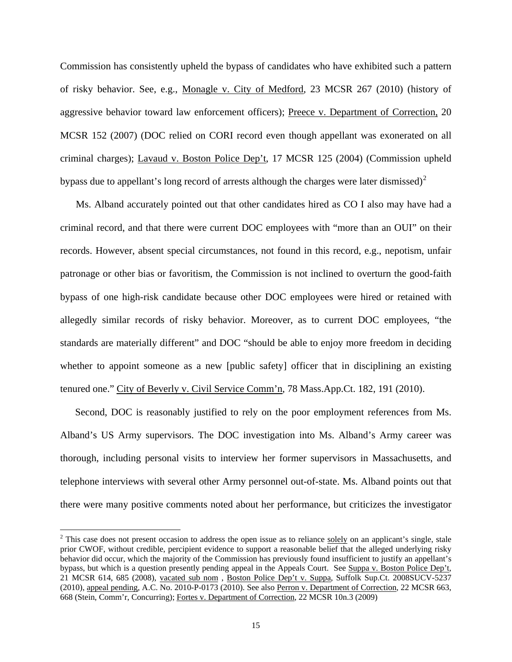Commission has consistently upheld the bypass of candidates who have exhibited such a pattern of risky behavior. See, e.g., Monagle v. City of Medford, 23 MCSR 267 (2010) (history of aggressive behavior toward law enforcement officers); Preece v. Department of Correction, 20 MCSR 152 (2007) (DOC relied on CORI record even though appellant was exonerated on all criminal charges); Lavaud v. Boston Police Dep't, 17 MCSR 125 (2004) (Commission upheld bypass due to appellant's long record of arrests although the charges were later dismissed)<sup>[2](#page-14-0)</sup>

Ms. Alband accurately pointed out that other candidates hired as CO I also may have had a criminal record, and that there were current DOC employees with "more than an OUI" on their records. However, absent special circumstances, not found in this record, e.g., nepotism, unfair patronage or other bias or favoritism, the Commission is not inclined to overturn the good-faith bypass of one high-risk candidate because other DOC employees were hired or retained with allegedly similar records of risky behavior. Moreover, as to current DOC employees, "the standards are materially different" and DOC "should be able to enjoy more freedom in deciding whether to appoint someone as a new [public safety] officer that in disciplining an existing tenured one." City of Beverly v. Civil Service Comm'n, 78 Mass.App.Ct. 182, 191 (2010).

Second, DOC is reasonably justified to rely on the poor employment references from Ms. Alband's US Army supervisors. The DOC investigation into Ms. Alband's Army career was thorough, including personal visits to interview her former supervisors in Massachusetts, and telephone interviews with several other Army personnel out-of-state. Ms. Alband points out that there were many positive comments noted about her performance, but criticizes the investigator

 $\overline{a}$ 

<span id="page-14-0"></span> $2$  This case does not present occasion to address the open issue as to reliance solely on an applicant's single, stale prior CWOF, without credible, percipient evidence to support a reasonable belief that the alleged underlying risky behavior did occur, which the majority of the Commission has previously found insufficient to justify an appellant's bypass, but which is a question presently pending appeal in the Appeals Court. See Suppa v. Boston Police Dep't, 21 MCSR 614, 685 (2008), vacated sub nom , Boston Police Dep't v. Suppa, Suffolk Sup.Ct. 2008SUCV-5237 (2010), appeal pending, A.C. No. 2010-P-0173 (2010). See also Perron v. Department of Correction, 22 MCSR 663, 668 (Stein, Comm'r, Concurring); Fortes v. Department of Correction, 22 MCSR 10n.3 (2009)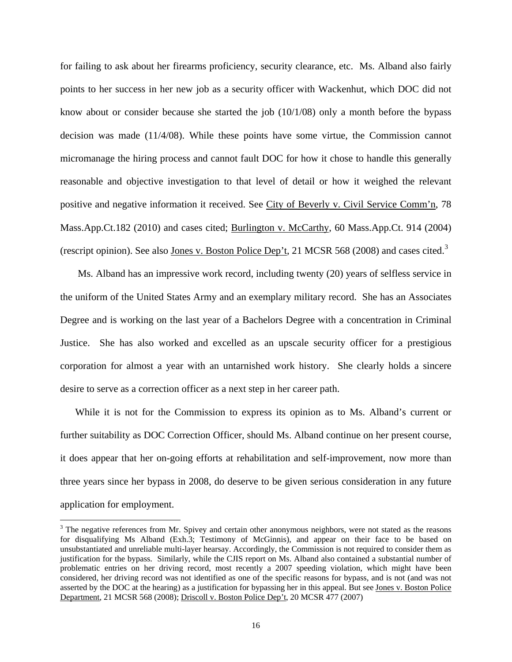for failing to ask about her firearms proficiency, security clearance, etc. Ms. Alband also fairly points to her success in her new job as a security officer with Wackenhut, which DOC did not know about or consider because she started the job (10/1/08) only a month before the bypass decision was made (11/4/08). While these points have some virtue, the Commission cannot micromanage the hiring process and cannot fault DOC for how it chose to handle this generally reasonable and objective investigation to that level of detail or how it weighed the relevant positive and negative information it received. See City of Beverly v. Civil Service Comm'n, 78 Mass.App.Ct.182 (2010) and cases cited; Burlington v. McCarthy, 60 Mass.App.Ct. 914 (2004) (rescript opinion). See also Jones v. Boston Police Dep't, 21 MCSR 568 (2008) and cases cited.<sup>[3](#page-15-0)</sup>

Ms. Alband has an impressive work record, including twenty (20) years of selfless service in the uniform of the United States Army and an exemplary military record. She has an Associates Degree and is working on the last year of a Bachelors Degree with a concentration in Criminal Justice. She has also worked and excelled as an upscale security officer for a prestigious corporation for almost a year with an untarnished work history. She clearly holds a sincere desire to serve as a correction officer as a next step in her career path.

 While it is not for the Commission to express its opinion as to Ms. Alband's current or further suitability as DOC Correction Officer, should Ms. Alband continue on her present course, it does appear that her on-going efforts at rehabilitation and self-improvement, now more than three years since her bypass in 2008, do deserve to be given serious consideration in any future application for employment.

 $\overline{a}$ 

<span id="page-15-0"></span> $3$  The negative references from Mr. Spivey and certain other anonymous neighbors, were not stated as the reasons for disqualifying Ms Alband (Exh.3; Testimony of McGinnis), and appear on their face to be based on unsubstantiated and unreliable multi-layer hearsay. Accordingly, the Commission is not required to consider them as justification for the bypass. Similarly, while the CJIS report on Ms. Alband also contained a substantial number of problematic entries on her driving record, most recently a 2007 speeding violation, which might have been considered, her driving record was not identified as one of the specific reasons for bypass, and is not (and was not asserted by the DOC at the hearing) as a justification for bypassing her in this appeal. But see Jones v. Boston Police Department, 21 MCSR 568 (2008); Driscoll v. Boston Police Dep't, 20 MCSR 477 (2007)